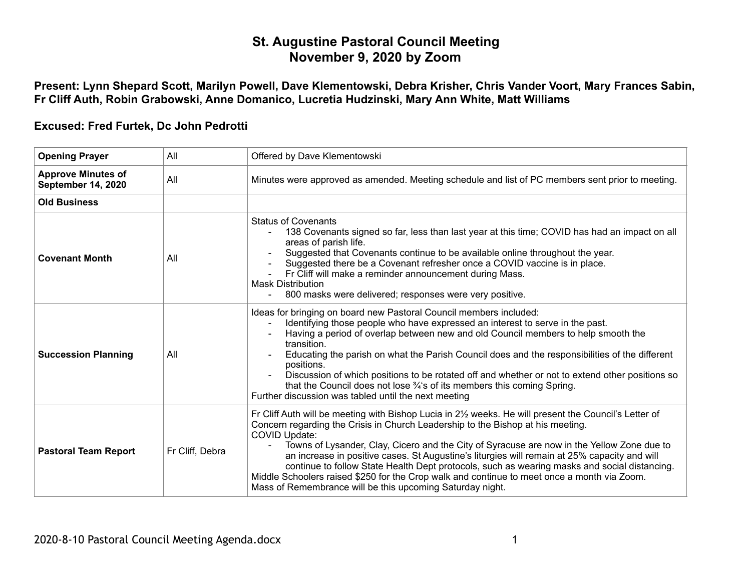## **St. Augustine Pastoral Council Meeting November 9, 2020 by Zoom**

**Present: Lynn Shepard Scott, Marilyn Powell, Dave Klementowski, Debra Krisher, Chris Vander Voort, Mary Frances Sabin, Fr Cliff Auth, Robin Grabowski, Anne Domanico, Lucretia Hudzinski, Mary Ann White, Matt Williams** 

## **Excused: Fred Furtek, Dc John Pedrotti**

| <b>Opening Prayer</b>                                  | All             | Offered by Dave Klementowski                                                                                                                                                                                                                                                                                                                                                                                                                                                                                                                                                                                                                                                            |
|--------------------------------------------------------|-----------------|-----------------------------------------------------------------------------------------------------------------------------------------------------------------------------------------------------------------------------------------------------------------------------------------------------------------------------------------------------------------------------------------------------------------------------------------------------------------------------------------------------------------------------------------------------------------------------------------------------------------------------------------------------------------------------------------|
| <b>Approve Minutes of</b><br><b>September 14, 2020</b> | All             | Minutes were approved as amended. Meeting schedule and list of PC members sent prior to meeting.                                                                                                                                                                                                                                                                                                                                                                                                                                                                                                                                                                                        |
| <b>Old Business</b>                                    |                 |                                                                                                                                                                                                                                                                                                                                                                                                                                                                                                                                                                                                                                                                                         |
| <b>Covenant Month</b>                                  | All             | <b>Status of Covenants</b><br>138 Covenants signed so far, less than last year at this time; COVID has had an impact on all<br>areas of parish life.<br>Suggested that Covenants continue to be available online throughout the year.<br>Suggested there be a Covenant refresher once a COVID vaccine is in place.<br>Fr Cliff will make a reminder announcement during Mass.<br><b>Mask Distribution</b><br>800 masks were delivered; responses were very positive.<br>$\overline{\phantom{0}}$                                                                                                                                                                                        |
| <b>Succession Planning</b>                             | All             | Ideas for bringing on board new Pastoral Council members included:<br>Identifying those people who have expressed an interest to serve in the past.<br>Having a period of overlap between new and old Council members to help smooth the<br>transition.<br>Educating the parish on what the Parish Council does and the responsibilities of the different<br>positions.<br>Discussion of which positions to be rotated off and whether or not to extend other positions so<br>that the Council does not lose 3/4's of its members this coming Spring.<br>Further discussion was tabled until the next meeting                                                                           |
| <b>Pastoral Team Report</b>                            | Fr Cliff, Debra | Fr Cliff Auth will be meeting with Bishop Lucia in 2 <sup>1/2</sup> weeks. He will present the Council's Letter of<br>Concern regarding the Crisis in Church Leadership to the Bishop at his meeting.<br><b>COVID Update:</b><br>Towns of Lysander, Clay, Cicero and the City of Syracuse are now in the Yellow Zone due to<br>an increase in positive cases. St Augustine's liturgies will remain at 25% capacity and will<br>continue to follow State Health Dept protocols, such as wearing masks and social distancing.<br>Middle Schoolers raised \$250 for the Crop walk and continue to meet once a month via Zoom.<br>Mass of Remembrance will be this upcoming Saturday night. |